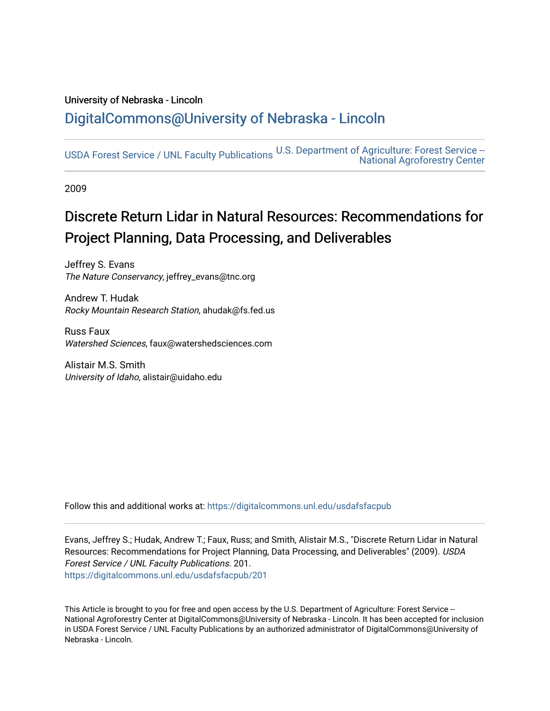# University of Nebraska - Lincoln [DigitalCommons@University of Nebraska - Lincoln](https://digitalcommons.unl.edu/)

[USDA Forest Service / UNL Faculty Publications](https://digitalcommons.unl.edu/usdafsfacpub) U.S. Department of Agriculture: Forest Service --[National Agroforestry Center](https://digitalcommons.unl.edu/usdafs) 

2009

# Discrete Return Lidar in Natural Resources: Recommendations for Project Planning, Data Processing, and Deliverables

Jeffrey S. Evans The Nature Conservancy, jeffrey\_evans@tnc.org

Andrew T. Hudak Rocky Mountain Research Station, ahudak@fs.fed.us

Russ Faux Watershed Sciences, faux@watershedsciences.com

Alistair M.S. Smith University of Idaho, alistair@uidaho.edu

Follow this and additional works at: [https://digitalcommons.unl.edu/usdafsfacpub](https://digitalcommons.unl.edu/usdafsfacpub?utm_source=digitalcommons.unl.edu%2Fusdafsfacpub%2F201&utm_medium=PDF&utm_campaign=PDFCoverPages) 

Evans, Jeffrey S.; Hudak, Andrew T.; Faux, Russ; and Smith, Alistair M.S., "Discrete Return Lidar in Natural Resources: Recommendations for Project Planning, Data Processing, and Deliverables" (2009). USDA Forest Service / UNL Faculty Publications. 201. [https://digitalcommons.unl.edu/usdafsfacpub/201](https://digitalcommons.unl.edu/usdafsfacpub/201?utm_source=digitalcommons.unl.edu%2Fusdafsfacpub%2F201&utm_medium=PDF&utm_campaign=PDFCoverPages) 

This Article is brought to you for free and open access by the U.S. Department of Agriculture: Forest Service --National Agroforestry Center at DigitalCommons@University of Nebraska - Lincoln. It has been accepted for inclusion in USDA Forest Service / UNL Faculty Publications by an authorized administrator of DigitalCommons@University of Nebraska - Lincoln.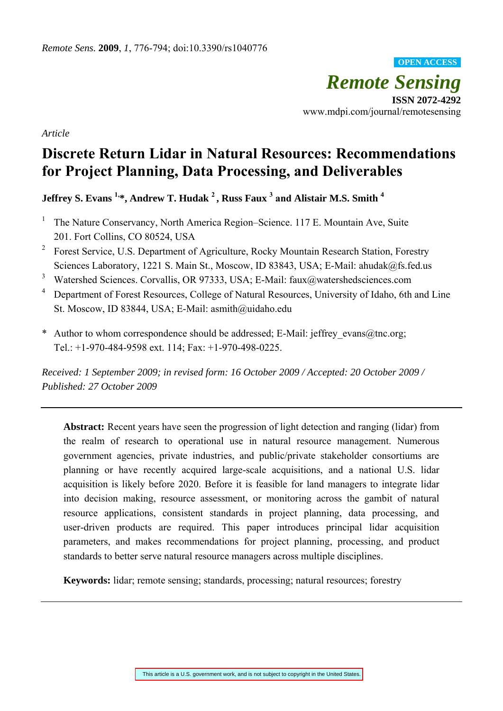*Remote Sensing*  **ISSN 2072-4292** www.mdpi.com/journal/remotesensing **OPEN ACCESS**

*Article* 

# **Discrete Return Lidar in Natural Resources: Recommendations for Project Planning, Data Processing, and Deliverables**

**Jeffrey S. Evans 1,\*, Andrew T. Hudak <sup>2</sup> , Russ Faux <sup>3</sup> and Alistair M.S. Smith <sup>4</sup>**

- <sup>1</sup> The Nature Conservancy, North America Region–Science. 117 E. Mountain Ave, Suite 201. Fort Collins, CO 80524, USA
- <sup>2</sup> Forest Service, U.S. Department of Agriculture, Rocky Mountain Research Station, Forestry Sciences Laboratory, 1221 S. Main St., Moscow, ID 83843, USA; E-Mail: ahudak@fs.fed.us
- <sup>3</sup> Watershed Sciences. Corvallis, OR 97333, USA; E-Mail: faux@watershedsciences.com
- <sup>4</sup> Department of Forest Resources, College of Natural Resources, University of Idaho, 6th and Line St. Moscow, ID 83844, USA; E-Mail: asmith@uidaho.edu
- \* Author to whom correspondence should be addressed; E-Mail: jeffrey\_evans@tnc.org; Tel.: +1-970-484-9598 ext. 114; Fax: +1-970-498-0225.

*Received: 1 September 2009; in revised form: 16 October 2009 / Accepted: 20 October 2009 / Published: 27 October 2009*

**Abstract:** Recent years have seen the progression of light detection and ranging (lidar) from the realm of research to operational use in natural resource management. Numerous government agencies, private industries, and public/private stakeholder consortiums are planning or have recently acquired large-scale acquisitions, and a national U.S. lidar acquisition is likely before 2020. Before it is feasible for land managers to integrate lidar into decision making, resource assessment, or monitoring across the gambit of natural resource applications, consistent standards in project planning, data processing, and user-driven products are required. This paper introduces principal lidar acquisition parameters, and makes recommendations for project planning, processing, and product standards to better serve natural resource managers across multiple disciplines.

**Keywords:** lidar; remote sensing; standards, processing; natural resources; forestry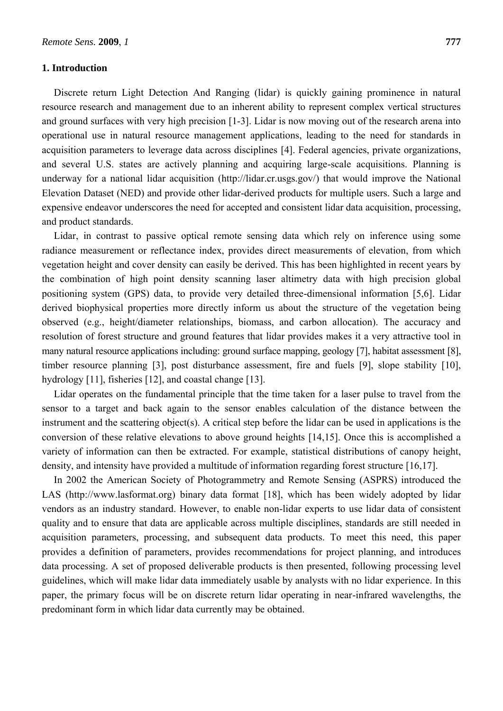#### **1. Introduction**

Discrete return Light Detection And Ranging (lidar) is quickly gaining prominence in natural resource research and management due to an inherent ability to represent complex vertical structures and ground surfaces with very high precision [1-3]. Lidar is now moving out of the research arena into operational use in natural resource management applications, leading to the need for standards in acquisition parameters to leverage data across disciplines [4]. Federal agencies, private organizations, and several U.S. states are actively planning and acquiring large-scale acquisitions. Planning is underway for a national lidar acquisition (http://lidar.cr.usgs.gov/) that would improve the National Elevation Dataset (NED) and provide other lidar-derived products for multiple users. Such a large and expensive endeavor underscores the need for accepted and consistent lidar data acquisition, processing, and product standards.

Lidar, in contrast to passive optical remote sensing data which rely on inference using some radiance measurement or reflectance index, provides direct measurements of elevation, from which vegetation height and cover density can easily be derived. This has been highlighted in recent years by the combination of high point density scanning laser altimetry data with high precision global positioning system (GPS) data, to provide very detailed three-dimensional information [5,6]. Lidar derived biophysical properties more directly inform us about the structure of the vegetation being observed (e.g., height/diameter relationships, biomass, and carbon allocation). The accuracy and resolution of forest structure and ground features that lidar provides makes it a very attractive tool in many natural resource applications including: ground surface mapping, geology [7], habitat assessment [8], timber resource planning [3], post disturbance assessment, fire and fuels [9], slope stability [10], hydrology [11], fisheries [12], and coastal change [13].

Lidar operates on the fundamental principle that the time taken for a laser pulse to travel from the sensor to a target and back again to the sensor enables calculation of the distance between the instrument and the scattering object(s). A critical step before the lidar can be used in applications is the conversion of these relative elevations to above ground heights [14,15]. Once this is accomplished a variety of information can then be extracted. For example, statistical distributions of canopy height, density, and intensity have provided a multitude of information regarding forest structure [16,17].

In 2002 the American Society of Photogrammetry and Remote Sensing (ASPRS) introduced the LAS (http://www.lasformat.org) binary data format [18], which has been widely adopted by lidar vendors as an industry standard. However, to enable non-lidar experts to use lidar data of consistent quality and to ensure that data are applicable across multiple disciplines, standards are still needed in acquisition parameters, processing, and subsequent data products. To meet this need, this paper provides a definition of parameters, provides recommendations for project planning, and introduces data processing. A set of proposed deliverable products is then presented, following processing level guidelines, which will make lidar data immediately usable by analysts with no lidar experience. In this paper, the primary focus will be on discrete return lidar operating in near-infrared wavelengths, the predominant form in which lidar data currently may be obtained.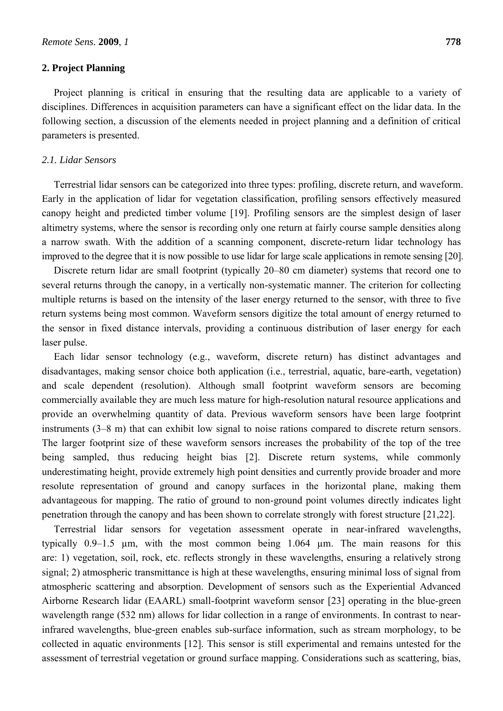#### **2. Project Planning**

Project planning is critical in ensuring that the resulting data are applicable to a variety of disciplines. Differences in acquisition parameters can have a significant effect on the lidar data. In the following section, a discussion of the elements needed in project planning and a definition of critical parameters is presented.

#### *2.1. Lidar Sensors*

Terrestrial lidar sensors can be categorized into three types: profiling, discrete return, and waveform. Early in the application of lidar for vegetation classification, profiling sensors effectively measured canopy height and predicted timber volume [19]. Profiling sensors are the simplest design of laser altimetry systems, where the sensor is recording only one return at fairly course sample densities along a narrow swath. With the addition of a scanning component, discrete-return lidar technology has improved to the degree that it is now possible to use lidar for large scale applications in remote sensing [20].

Discrete return lidar are small footprint (typically 20–80 cm diameter) systems that record one to several returns through the canopy, in a vertically non-systematic manner. The criterion for collecting multiple returns is based on the intensity of the laser energy returned to the sensor, with three to five return systems being most common. Waveform sensors digitize the total amount of energy returned to the sensor in fixed distance intervals, providing a continuous distribution of laser energy for each laser pulse.

Each lidar sensor technology (e.g., waveform, discrete return) has distinct advantages and disadvantages, making sensor choice both application (i.e., terrestrial, aquatic, bare-earth, vegetation) and scale dependent (resolution). Although small footprint waveform sensors are becoming commercially available they are much less mature for high-resolution natural resource applications and provide an overwhelming quantity of data. Previous waveform sensors have been large footprint instruments (3–8 m) that can exhibit low signal to noise rations compared to discrete return sensors. The larger footprint size of these waveform sensors increases the probability of the top of the tree being sampled, thus reducing height bias [2]. Discrete return systems, while commonly underestimating height, provide extremely high point densities and currently provide broader and more resolute representation of ground and canopy surfaces in the horizontal plane, making them advantageous for mapping. The ratio of ground to non-ground point volumes directly indicates light penetration through the canopy and has been shown to correlate strongly with forest structure [21,22].

Terrestrial lidar sensors for vegetation assessment operate in near-infrared wavelengths, typically 0.9–1.5 µm, with the most common being 1.064 µm. The main reasons for this are: 1) vegetation, soil, rock, etc. reflects strongly in these wavelengths, ensuring a relatively strong signal; 2) atmospheric transmittance is high at these wavelengths, ensuring minimal loss of signal from atmospheric scattering and absorption. Development of sensors such as the Experiential Advanced Airborne Research lidar (EAARL) small-footprint waveform sensor [23] operating in the blue-green wavelength range (532 nm) allows for lidar collection in a range of environments. In contrast to nearinfrared wavelengths, blue-green enables sub-surface information, such as stream morphology, to be collected in aquatic environments [12]. This sensor is still experimental and remains untested for the assessment of terrestrial vegetation or ground surface mapping. Considerations such as scattering, bias,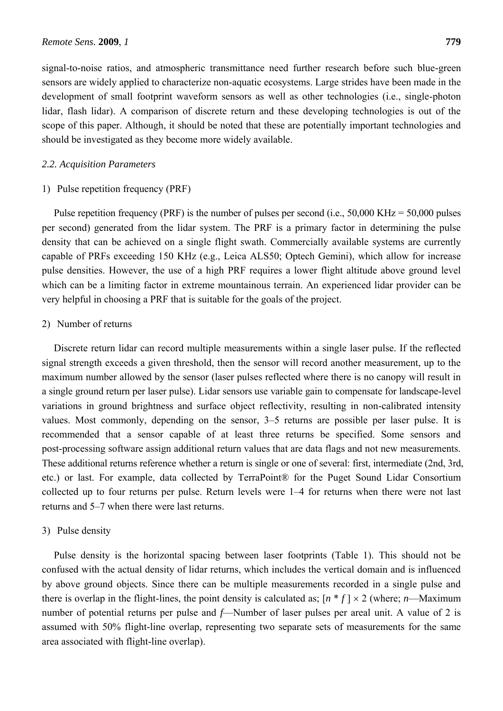signal-to-noise ratios, and atmospheric transmittance need further research before such blue-green sensors are widely applied to characterize non-aquatic ecosystems. Large strides have been made in the development of small footprint waveform sensors as well as other technologies (i.e., single-photon lidar, flash lidar). A comparison of discrete return and these developing technologies is out of the scope of this paper. Although, it should be noted that these are potentially important technologies and should be investigated as they become more widely available.

#### *2.2. Acquisition Parameters*

#### 1) Pulse repetition frequency (PRF)

Pulse repetition frequency (PRF) is the number of pulses per second (i.e., 50,000 KHz = 50,000 pulses per second) generated from the lidar system. The PRF is a primary factor in determining the pulse density that can be achieved on a single flight swath. Commercially available systems are currently capable of PRFs exceeding 150 KHz (e.g., Leica ALS50; Optech Gemini), which allow for increase pulse densities. However, the use of a high PRF requires a lower flight altitude above ground level which can be a limiting factor in extreme mountainous terrain. An experienced lidar provider can be very helpful in choosing a PRF that is suitable for the goals of the project.

#### 2) Number of returns

Discrete return lidar can record multiple measurements within a single laser pulse. If the reflected signal strength exceeds a given threshold, then the sensor will record another measurement, up to the maximum number allowed by the sensor (laser pulses reflected where there is no canopy will result in a single ground return per laser pulse). Lidar sensors use variable gain to compensate for landscape-level variations in ground brightness and surface object reflectivity, resulting in non-calibrated intensity values. Most commonly, depending on the sensor, 3–5 returns are possible per laser pulse. It is recommended that a sensor capable of at least three returns be specified. Some sensors and post-processing software assign additional return values that are data flags and not new measurements. These additional returns reference whether a return is single or one of several: first, intermediate (2nd, 3rd, etc.) or last. For example, data collected by TerraPoint® for the Puget Sound Lidar Consortium collected up to four returns per pulse. Return levels were 1–4 for returns when there were not last returns and 5–7 when there were last returns.

#### 3) Pulse density

Pulse density is the horizontal spacing between laser footprints (Table 1). This should not be confused with the actual density of lidar returns, which includes the vertical domain and is influenced by above ground objects. Since there can be multiple measurements recorded in a single pulse and there is overlap in the flight-lines, the point density is calculated as;  $[n * f] \times 2$  (where; *n*—Maximum number of potential returns per pulse and *f*—Number of laser pulses per areal unit. A value of 2 is assumed with 50% flight-line overlap, representing two separate sets of measurements for the same area associated with flight-line overlap).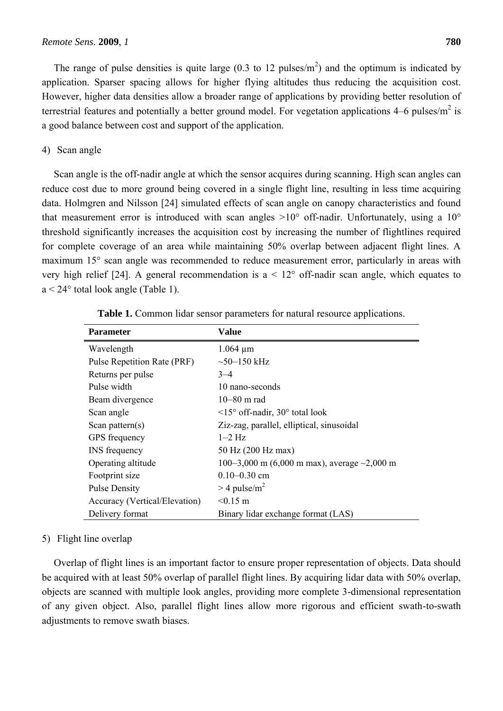The range of pulse densities is quite large (0.3 to 12 pulses/ $m<sup>2</sup>$ ) and the optimum is indicated by application. Sparser spacing allows for higher flying altitudes thus reducing the acquisition cost. However, higher data densities allow a broader range of applications by providing better resolution of terrestrial features and potentially a better ground model. For vegetation applications  $4-6$  pulses/m<sup>2</sup> is a good balance between cost and support of the application.

#### 4) Scan angle

Scan angle is the off-nadir angle at which the sensor acquires during scanning. High scan angles can reduce cost due to more ground being covered in a single flight line, resulting in less time acquiring data. Holmgren and Nilsson [24] simulated effects of scan angle on canopy characteristics and found that measurement error is introduced with scan angles  $>10^{\circ}$  off-nadir. Unfortunately, using a 10<sup>°</sup> threshold significantly increases the acquisition cost by increasing the number of flightlines required for complete coverage of an area while maintaining 50% overlap between adjacent flight lines. A maximum 15° scan angle was recommended to reduce measurement error, particularly in areas with very high relief [24]. A general recommendation is  $a < 12^{\circ}$  off-nadir scan angle, which equates to  $a < 24^{\circ}$  total look angle (Table 1).

| <b>Parameter</b>              | Value                                             |
|-------------------------------|---------------------------------------------------|
| Wavelength                    | $1.064 \mu m$                                     |
| Pulse Repetition Rate (PRF)   | $\sim$ 50–150 kHz                                 |
| Returns per pulse             | $3 - 4$                                           |
| Pulse width                   | 10 nano-seconds                                   |
| Beam divergence               | $10-80$ m rad                                     |
| Scan angle                    | $\leq$ 15° off-nadir, 30° total look              |
| Scan pattern $(s)$            | Ziz-zag, parallel, elliptical, sinusoidal         |
| GPS frequency                 | $1-2$ Hz                                          |
| <b>INS</b> frequency          | 50 Hz (200 Hz max)                                |
| Operating altitude            | 100–3,000 m (6,000 m max), average $\sim$ 2,000 m |
| Footprint size                | $0.10 - 0.30$ cm                                  |
| <b>Pulse Density</b>          | $>$ 4 pulse/m <sup>2</sup>                        |
| Accuracy (Vertical/Elevation) | $< 0.15$ m                                        |
| Delivery format               | Binary lidar exchange format (LAS)                |

**Table 1.** Common lidar sensor parameters for natural resource applications.

#### 5) Flight line overlap

Overlap of flight lines is an important factor to ensure proper representation of objects. Data should be acquired with at least 50% overlap of parallel flight lines. By acquiring lidar data with 50% overlap, objects are scanned with multiple look angles, providing more complete 3-dimensional representation of any given object. Also, parallel flight lines allow more rigorous and efficient swath-to-swath adjustments to remove swath biases.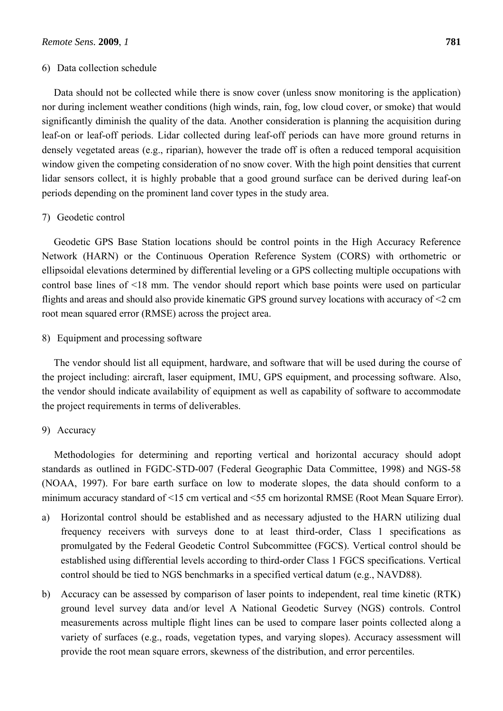#### 6) Data collection schedule

Data should not be collected while there is snow cover (unless snow monitoring is the application) nor during inclement weather conditions (high winds, rain, fog, low cloud cover, or smoke) that would significantly diminish the quality of the data. Another consideration is planning the acquisition during leaf-on or leaf-off periods. Lidar collected during leaf-off periods can have more ground returns in densely vegetated areas (e.g., riparian), however the trade off is often a reduced temporal acquisition window given the competing consideration of no snow cover. With the high point densities that current lidar sensors collect, it is highly probable that a good ground surface can be derived during leaf-on periods depending on the prominent land cover types in the study area.

#### 7) Geodetic control

Geodetic GPS Base Station locations should be control points in the High Accuracy Reference Network (HARN) or the Continuous Operation Reference System (CORS) with orthometric or ellipsoidal elevations determined by differential leveling or a GPS collecting multiple occupations with control base lines of <18 mm. The vendor should report which base points were used on particular flights and areas and should also provide kinematic GPS ground survey locations with accuracy of <2 cm root mean squared error (RMSE) across the project area.

8) Equipment and processing software

The vendor should list all equipment, hardware, and software that will be used during the course of the project including: aircraft, laser equipment, IMU, GPS equipment, and processing software. Also, the vendor should indicate availability of equipment as well as capability of software to accommodate the project requirements in terms of deliverables.

#### 9) Accuracy

Methodologies for determining and reporting vertical and horizontal accuracy should adopt standards as outlined in FGDC-STD-007 (Federal Geographic Data Committee, 1998) and NGS-58 (NOAA, 1997). For bare earth surface on low to moderate slopes, the data should conform to a minimum accuracy standard of <15 cm vertical and <55 cm horizontal RMSE (Root Mean Square Error).

- a) Horizontal control should be established and as necessary adjusted to the HARN utilizing dual frequency receivers with surveys done to at least third-order, Class 1 specifications as promulgated by the Federal Geodetic Control Subcommittee (FGCS). Vertical control should be established using differential levels according to third-order Class 1 FGCS specifications. Vertical control should be tied to NGS benchmarks in a specified vertical datum (e.g., NAVD88).
- b) Accuracy can be assessed by comparison of laser points to independent, real time kinetic (RTK) ground level survey data and/or level A National Geodetic Survey (NGS) controls. Control measurements across multiple flight lines can be used to compare laser points collected along a variety of surfaces (e.g., roads, vegetation types, and varying slopes). Accuracy assessment will provide the root mean square errors, skewness of the distribution, and error percentiles.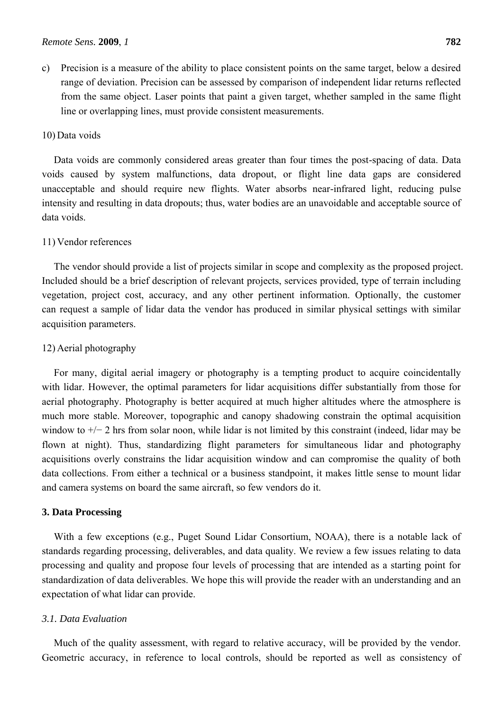c) Precision is a measure of the ability to place consistent points on the same target, below a desired range of deviation. Precision can be assessed by comparison of independent lidar returns reflected from the same object. Laser points that paint a given target, whether sampled in the same flight line or overlapping lines, must provide consistent measurements.

#### 10) Data voids

Data voids are commonly considered areas greater than four times the post-spacing of data. Data voids caused by system malfunctions, data dropout, or flight line data gaps are considered unacceptable and should require new flights. Water absorbs near-infrared light, reducing pulse intensity and resulting in data dropouts; thus, water bodies are an unavoidable and acceptable source of data voids.

#### 11) Vendor references

The vendor should provide a list of projects similar in scope and complexity as the proposed project. Included should be a brief description of relevant projects, services provided, type of terrain including vegetation, project cost, accuracy, and any other pertinent information. Optionally, the customer can request a sample of lidar data the vendor has produced in similar physical settings with similar acquisition parameters.

#### 12) Aerial photography

For many, digital aerial imagery or photography is a tempting product to acquire coincidentally with lidar. However, the optimal parameters for lidar acquisitions differ substantially from those for aerial photography. Photography is better acquired at much higher altitudes where the atmosphere is much more stable. Moreover, topographic and canopy shadowing constrain the optimal acquisition window to +/− 2 hrs from solar noon, while lidar is not limited by this constraint (indeed, lidar may be flown at night). Thus, standardizing flight parameters for simultaneous lidar and photography acquisitions overly constrains the lidar acquisition window and can compromise the quality of both data collections. From either a technical or a business standpoint, it makes little sense to mount lidar and camera systems on board the same aircraft, so few vendors do it.

#### **3. Data Processing**

With a few exceptions (e.g., Puget Sound Lidar Consortium, NOAA), there is a notable lack of standards regarding processing, deliverables, and data quality. We review a few issues relating to data processing and quality and propose four levels of processing that are intended as a starting point for standardization of data deliverables. We hope this will provide the reader with an understanding and an expectation of what lidar can provide.

#### *3.1. Data Evaluation*

Much of the quality assessment, with regard to relative accuracy, will be provided by the vendor. Geometric accuracy, in reference to local controls, should be reported as well as consistency of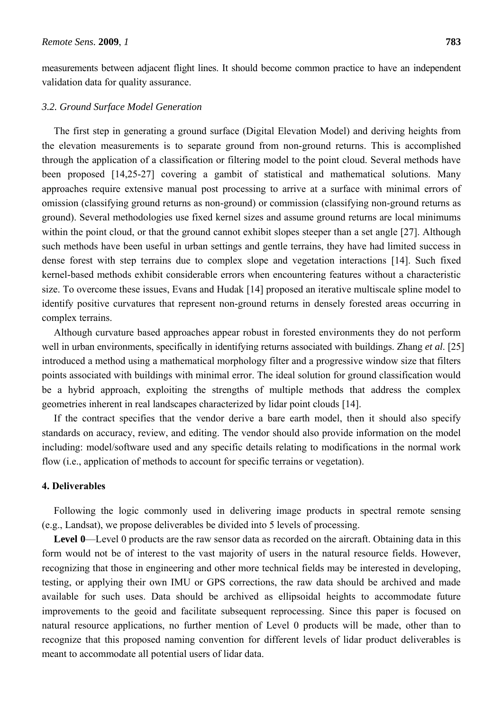measurements between adjacent flight lines. It should become common practice to have an independent validation data for quality assurance.

#### *3.2. Ground Surface Model Generation*

The first step in generating a ground surface (Digital Elevation Model) and deriving heights from the elevation measurements is to separate ground from non-ground returns. This is accomplished through the application of a classification or filtering model to the point cloud. Several methods have been proposed [14,25-27] covering a gambit of statistical and mathematical solutions. Many approaches require extensive manual post processing to arrive at a surface with minimal errors of omission (classifying ground returns as non-ground) or commission (classifying non-ground returns as ground). Several methodologies use fixed kernel sizes and assume ground returns are local minimums within the point cloud, or that the ground cannot exhibit slopes steeper than a set angle [27]. Although such methods have been useful in urban settings and gentle terrains, they have had limited success in dense forest with step terrains due to complex slope and vegetation interactions [14]. Such fixed kernel-based methods exhibit considerable errors when encountering features without a characteristic size. To overcome these issues, Evans and Hudak [14] proposed an iterative multiscale spline model to identify positive curvatures that represent non-ground returns in densely forested areas occurring in complex terrains.

Although curvature based approaches appear robust in forested environments they do not perform well in urban environments, specifically in identifying returns associated with buildings. Zhang *et al*. [25] introduced a method using a mathematical morphology filter and a progressive window size that filters points associated with buildings with minimal error. The ideal solution for ground classification would be a hybrid approach, exploiting the strengths of multiple methods that address the complex geometries inherent in real landscapes characterized by lidar point clouds [14].

If the contract specifies that the vendor derive a bare earth model, then it should also specify standards on accuracy, review, and editing. The vendor should also provide information on the model including: model/software used and any specific details relating to modifications in the normal work flow (i.e., application of methods to account for specific terrains or vegetation).

#### **4. Deliverables**

Following the logic commonly used in delivering image products in spectral remote sensing (e.g., Landsat), we propose deliverables be divided into 5 levels of processing.

**Level 0**—Level 0 products are the raw sensor data as recorded on the aircraft. Obtaining data in this form would not be of interest to the vast majority of users in the natural resource fields. However, recognizing that those in engineering and other more technical fields may be interested in developing, testing, or applying their own IMU or GPS corrections, the raw data should be archived and made available for such uses. Data should be archived as ellipsoidal heights to accommodate future improvements to the geoid and facilitate subsequent reprocessing. Since this paper is focused on natural resource applications, no further mention of Level 0 products will be made, other than to recognize that this proposed naming convention for different levels of lidar product deliverables is meant to accommodate all potential users of lidar data.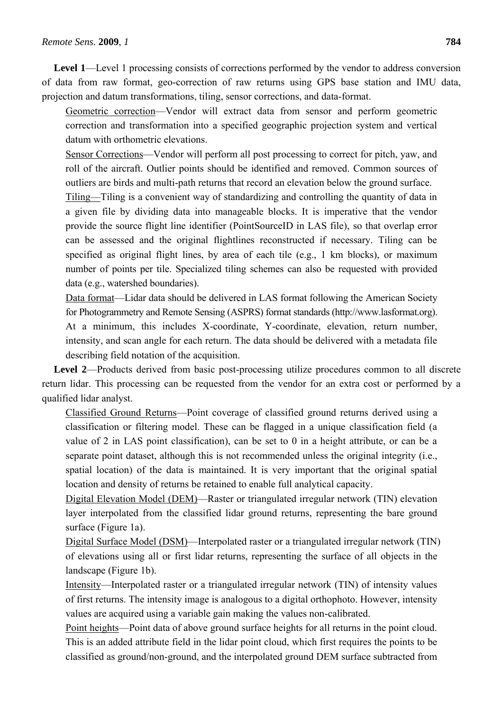**Level 1**—Level 1 processing consists of corrections performed by the vendor to address conversion of data from raw format, geo-correction of raw returns using GPS base station and IMU data, projection and datum transformations, tiling, sensor corrections, and data-format.

Geometric correction—Vendor will extract data from sensor and perform geometric correction and transformation into a specified geographic projection system and vertical datum with orthometric elevations.

Sensor Corrections—Vendor will perform all post processing to correct for pitch, yaw, and roll of the aircraft. Outlier points should be identified and removed. Common sources of outliers are birds and multi-path returns that record an elevation below the ground surface.

Tiling—Tiling is a convenient way of standardizing and controlling the quantity of data in a given file by dividing data into manageable blocks. It is imperative that the vendor provide the source flight line identifier (PointSourceID in LAS file), so that overlap error can be assessed and the original flightlines reconstructed if necessary. Tiling can be specified as original flight lines, by area of each tile (e.g., 1 km blocks), or maximum number of points per tile. Specialized tiling schemes can also be requested with provided data (e.g., watershed boundaries).

Data format—Lidar data should be delivered in LAS format following the American Society for Photogrammetry and Remote Sensing (ASPRS) format standards (http://www.lasformat.org). At a minimum, this includes X-coordinate, Y-coordinate, elevation, return number, intensity, and scan angle for each return. The data should be delivered with a metadata file describing field notation of the acquisition.

**Level 2**—Products derived from basic post-processing utilize procedures common to all discrete return lidar. This processing can be requested from the vendor for an extra cost or performed by a qualified lidar analyst.

Classified Ground Returns—Point coverage of classified ground returns derived using a classification or filtering model. These can be flagged in a unique classification field (a value of 2 in LAS point classification), can be set to 0 in a height attribute, or can be a separate point dataset, although this is not recommended unless the original integrity (i.e., spatial location) of the data is maintained. It is very important that the original spatial location and density of returns be retained to enable full analytical capacity.

Digital Elevation Model (DEM)—Raster or triangulated irregular network (TIN) elevation layer interpolated from the classified lidar ground returns, representing the bare ground surface (Figure 1a).

Digital Surface Model (DSM)—Interpolated raster or a triangulated irregular network (TIN) of elevations using all or first lidar returns, representing the surface of all objects in the landscape (Figure 1b).

Intensity—Interpolated raster or a triangulated irregular network (TIN) of intensity values of first returns. The intensity image is analogous to a digital orthophoto. However, intensity values are acquired using a variable gain making the values non-calibrated.

Point heights—Point data of above ground surface heights for all returns in the point cloud. This is an added attribute field in the lidar point cloud, which first requires the points to be classified as ground/non-ground, and the interpolated ground DEM surface subtracted from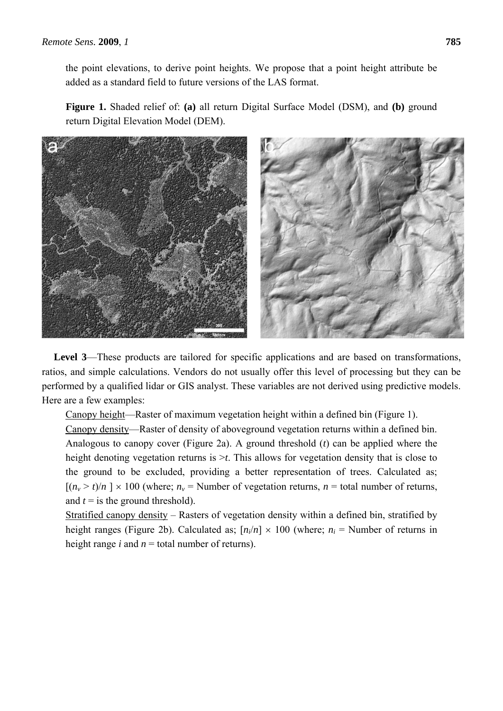the point elevations, to derive point heights. We propose that a point height attribute be added as a standard field to future versions of the LAS format.

**Figure 1.** Shaded relief of: **(a)** all return Digital Surface Model (DSM), and **(b)** ground return Digital Elevation Model (DEM).



**Level 3**—These products are tailored for specific applications and are based on transformations, ratios, and simple calculations. Vendors do not usually offer this level of processing but they can be performed by a qualified lidar or GIS analyst. These variables are not derived using predictive models. Here are a few examples:

Canopy height—Raster of maximum vegetation height within a defined bin (Figure 1).

Canopy density—Raster of density of aboveground vegetation returns within a defined bin. Analogous to canopy cover (Figure 2a). A ground threshold (*t*) can be applied where the height denoting vegetation returns is >*t*. This allows for vegetation density that is close to the ground to be excluded, providing a better representation of trees. Calculated as;  $[(n_v > t)/n] \times 100$  (where;  $n_v$  = Number of vegetation returns,  $n =$  total number of returns, and  $t =$  is the ground threshold).

Stratified canopy density – Rasters of vegetation density within a defined bin, stratified by height ranges (Figure 2b). Calculated as;  $[n_i/n] \times 100$  (where;  $n_i$  = Number of returns in height range  $i$  and  $n =$  total number of returns).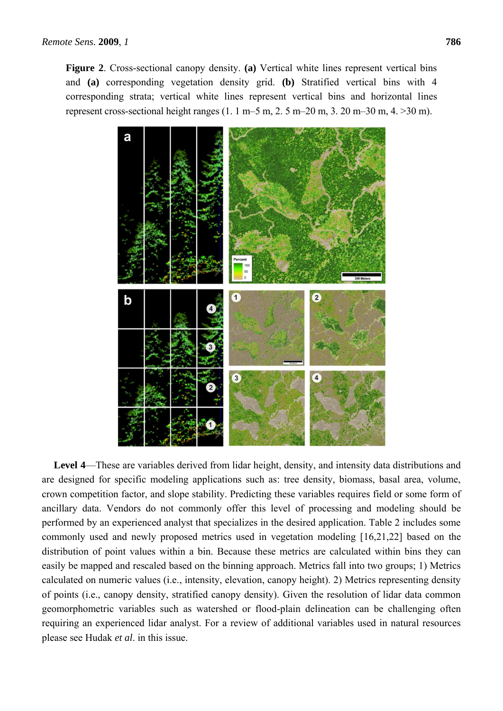**Figure 2**. Cross-sectional canopy density. **(a)** Vertical white lines represent vertical bins and **(a)** corresponding vegetation density grid. **(b)** Stratified vertical bins with 4 corresponding strata; vertical white lines represent vertical bins and horizontal lines represent cross-sectional height ranges (1. 1 m–5 m, 2. 5 m–20 m, 3. 20 m–30 m, 4. >30 m).



**Level 4**—These are variables derived from lidar height, density, and intensity data distributions and are designed for specific modeling applications such as: tree density, biomass, basal area, volume, crown competition factor, and slope stability. Predicting these variables requires field or some form of ancillary data. Vendors do not commonly offer this level of processing and modeling should be performed by an experienced analyst that specializes in the desired application. Table 2 includes some commonly used and newly proposed metrics used in vegetation modeling [16,21,22] based on the distribution of point values within a bin. Because these metrics are calculated within bins they can easily be mapped and rescaled based on the binning approach. Metrics fall into two groups; 1) Metrics calculated on numeric values (i.e., intensity, elevation, canopy height). 2) Metrics representing density of points (i.e., canopy density, stratified canopy density). Given the resolution of lidar data common geomorphometric variables such as watershed or flood-plain delineation can be challenging often requiring an experienced lidar analyst. For a review of additional variables used in natural resources please see Hudak *et al*. in this issue.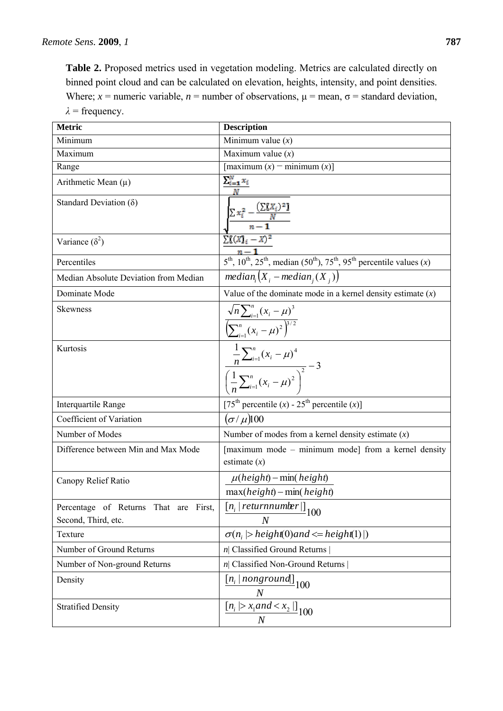**Table 2.** Proposed metrics used in vegetation modeling. Metrics are calculated directly on binned point cloud and can be calculated on elevation, heights, intensity, and point densities. Where;  $x =$  numeric variable,  $n =$  number of observations,  $\mu =$  mean,  $\sigma =$  standard deviation,  $\lambda$  = frequency.

| <b>Metric</b>                         | <b>Description</b>                                                                                                                                                                                         |
|---------------------------------------|------------------------------------------------------------------------------------------------------------------------------------------------------------------------------------------------------------|
| Minimum                               | Minimum value $(x)$                                                                                                                                                                                        |
| Maximum                               | Maximum value $(x)$                                                                                                                                                                                        |
| Range                                 | [maximum $(x)$ – minimum $(x)$ ]                                                                                                                                                                           |
| Arithmetic Mean $(\mu)$               | $\sum_{i=1}^N x_i$                                                                                                                                                                                         |
| Standard Deviation $(\delta)$         | $\frac{\sum x_i^2 - \frac{(\sum K_i)^2}{N}}{n-1}$                                                                                                                                                          |
| Variance $(\delta^2)$                 | $\sum (X_i - X)^2$                                                                                                                                                                                         |
| Percentiles                           | $\frac{n-1}{5^{\text{th}}$ , $10^{\text{th}}$ , $25^{\text{th}}$ , median (50 <sup>th</sup> ), 75 <sup>th</sup> , 95 <sup>th</sup> percentile values ( <i>x</i> )                                          |
| Median Absolute Deviation from Median | $median_i(X_i - median_i(X_i))$                                                                                                                                                                            |
| Dominate Mode                         | Value of the dominate mode in a kernel density estimate $(x)$                                                                                                                                              |
| Skewness                              |                                                                                                                                                                                                            |
| Kurtosis                              | $\frac{\sqrt{n}\sum_{i=1}^{n}(x_i - \mu)^3}{\left(\sum_{i=1}^{n}(x_i - \mu)^2\right)^{3/2}}$<br>$\frac{\frac{1}{n}\sum_{i=1}^{n}(x_i - \mu)^4}{\left(\frac{1}{n}\sum_{i=1}^{n}(x_i - \mu)^2\right)^2} - 3$ |
| Interquartile Range                   | [75 <sup>th</sup> percentile (x) - 25 <sup>th</sup> percentile (x)]                                                                                                                                        |
| Coefficient of Variation              | $(\sigma/\mu)$ 100                                                                                                                                                                                         |
| Number of Modes                       | Number of modes from a kernel density estimate $(x)$                                                                                                                                                       |
| Difference between Min and Max Mode   | [maximum mode – minimum mode] from a kernel density<br>estimate $(x)$                                                                                                                                      |
| Canopy Relief Ratio                   | $\mu(h \rightarrow h)$ – min(height)<br>$max(height) - min(height)$                                                                                                                                        |
| Percentage of Returns That are First, | $[n_i   return number]]$<br>100                                                                                                                                                                            |
| Second, Third, etc.                   | N                                                                                                                                                                                                          |
| Texture                               | $\sigma(n_i > height(0)$ and $\leq height(1)$ ]                                                                                                                                                            |
| Number of Ground Returns              | $n$   Classified Ground Returns                                                                                                                                                                            |
| Number of Non-ground Returns          | $n$   Classified Non-Ground Returns                                                                                                                                                                        |
| Density                               | $\sqrt[n_i nonground]$ <sub>100</sub>                                                                                                                                                                      |
| <b>Stratified Density</b>             | $[n_i > x_1$ and $\lt x_2]$ 100<br>$\boldsymbol{N}$                                                                                                                                                        |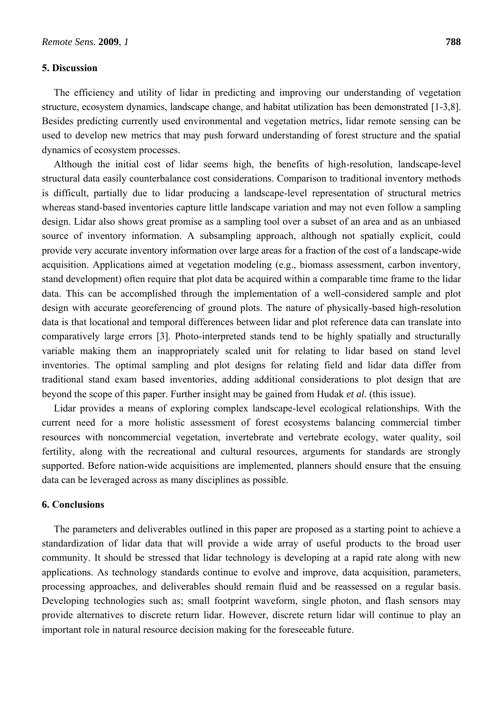#### **5. Discussion**

The efficiency and utility of lidar in predicting and improving our understanding of vegetation structure, ecosystem dynamics, landscape change, and habitat utilization has been demonstrated [1-3,8]. Besides predicting currently used environmental and vegetation metrics, lidar remote sensing can be used to develop new metrics that may push forward understanding of forest structure and the spatial dynamics of ecosystem processes.

Although the initial cost of lidar seems high, the benefits of high-resolution, landscape-level structural data easily counterbalance cost considerations. Comparison to traditional inventory methods is difficult, partially due to lidar producing a landscape-level representation of structural metrics whereas stand-based inventories capture little landscape variation and may not even follow a sampling design. Lidar also shows great promise as a sampling tool over a subset of an area and as an unbiased source of inventory information. A subsampling approach, although not spatially explicit, could provide very accurate inventory information over large areas for a fraction of the cost of a landscape-wide acquisition. Applications aimed at vegetation modeling (e.g., biomass assessment, carbon inventory, stand development) often require that plot data be acquired within a comparable time frame to the lidar data. This can be accomplished through the implementation of a well-considered sample and plot design with accurate georeferencing of ground plots. The nature of physically-based high-resolution data is that locational and temporal differences between lidar and plot reference data can translate into comparatively large errors [3]. Photo-interpreted stands tend to be highly spatially and structurally variable making them an inappropriately scaled unit for relating to lidar based on stand level inventories. The optimal sampling and plot designs for relating field and lidar data differ from traditional stand exam based inventories, adding additional considerations to plot design that are beyond the scope of this paper. Further insight may be gained from Hudak *et al.* (this issue).

Lidar provides a means of exploring complex landscape-level ecological relationships. With the current need for a more holistic assessment of forest ecosystems balancing commercial timber resources with noncommercial vegetation, invertebrate and vertebrate ecology, water quality, soil fertility, along with the recreational and cultural resources, arguments for standards are strongly supported. Before nation-wide acquisitions are implemented, planners should ensure that the ensuing data can be leveraged across as many disciplines as possible.

### **6. Conclusions**

The parameters and deliverables outlined in this paper are proposed as a starting point to achieve a standardization of lidar data that will provide a wide array of useful products to the broad user community. It should be stressed that lidar technology is developing at a rapid rate along with new applications. As technology standards continue to evolve and improve, data acquisition, parameters, processing approaches, and deliverables should remain fluid and be reassessed on a regular basis. Developing technologies such as; small footprint waveform, single photon, and flash sensors may provide alternatives to discrete return lidar. However, discrete return lidar will continue to play an important role in natural resource decision making for the foreseeable future.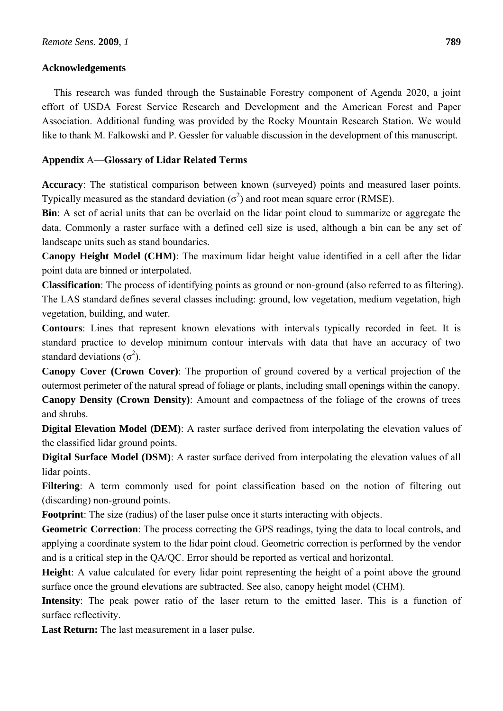## **Acknowledgements**

This research was funded through the Sustainable Forestry component of Agenda 2020, a joint effort of USDA Forest Service Research and Development and the American Forest and Paper Association. Additional funding was provided by the Rocky Mountain Research Station. We would like to thank M. Falkowski and P. Gessler for valuable discussion in the development of this manuscript.

## **Appendix** A**—Glossary of Lidar Related Terms**

**Accuracy**: The statistical comparison between known (surveyed) points and measured laser points. Typically measured as the standard deviation  $(\sigma^2)$  and root mean square error (RMSE).

**Bin**: A set of aerial units that can be overlaid on the lidar point cloud to summarize or aggregate the data. Commonly a raster surface with a defined cell size is used, although a bin can be any set of landscape units such as stand boundaries.

**Canopy Height Model (CHM)**: The maximum lidar height value identified in a cell after the lidar point data are binned or interpolated.

**Classification**: The process of identifying points as ground or non-ground (also referred to as filtering). The LAS standard defines several classes including: ground, low vegetation, medium vegetation, high vegetation, building, and water.

**Contours**: Lines that represent known elevations with intervals typically recorded in feet. It is standard practice to develop minimum contour intervals with data that have an accuracy of two standard deviations  $(\sigma^2)$ .

**Canopy Cover (Crown Cover)**: The proportion of ground covered by a vertical projection of the outermost perimeter of the natural spread of foliage or plants, including small openings within the canopy.

**Canopy Density (Crown Density)**: Amount and compactness of the foliage of the crowns of trees and shrubs.

**Digital Elevation Model (DEM)**: A raster surface derived from interpolating the elevation values of the classified lidar ground points.

**Digital Surface Model (DSM)**: A raster surface derived from interpolating the elevation values of all lidar points.

**Filtering**: A term commonly used for point classification based on the notion of filtering out (discarding) non-ground points.

**Footprint**: The size (radius) of the laser pulse once it starts interacting with objects.

**Geometric Correction**: The process correcting the GPS readings, tying the data to local controls, and applying a coordinate system to the lidar point cloud. Geometric correction is performed by the vendor and is a critical step in the QA/QC. Error should be reported as vertical and horizontal.

**Height**: A value calculated for every lidar point representing the height of a point above the ground surface once the ground elevations are subtracted. See also, canopy height model (CHM).

**Intensity**: The peak power ratio of the laser return to the emitted laser. This is a function of surface reflectivity.

**Last Return:** The last measurement in a laser pulse.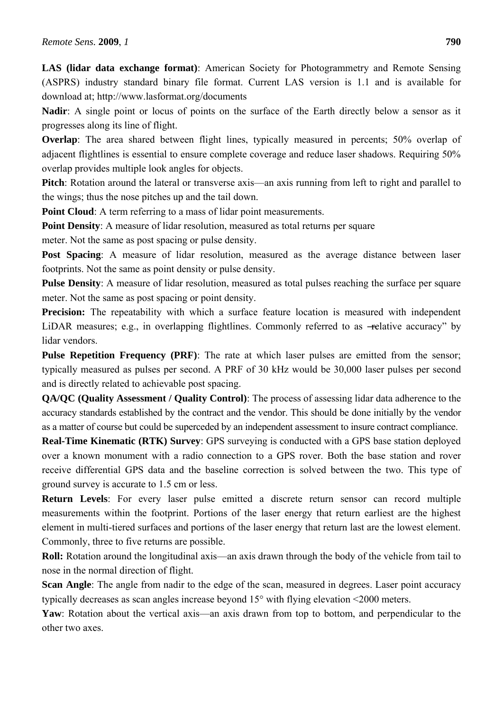**LAS (lidar data exchange format)**: American Society for Photogrammetry and Remote Sensing (ASPRS) industry standard binary file format. Current LAS version is 1.1 and is available for download at; http://www.lasformat.org/documents

**Nadir**: A single point or locus of points on the surface of the Earth directly below a sensor as it progresses along its line of flight.

**Overlap**: The area shared between flight lines, typically measured in percents; 50% overlap of adjacent flightlines is essential to ensure complete coverage and reduce laser shadows. Requiring 50% overlap provides multiple look angles for objects.

**Pitch**: Rotation around the lateral or transverse axis—an axis running from left to right and parallel to the wings; thus the nose pitches up and the tail down.

**Point Cloud:** A term referring to a mass of lidar point measurements.

**Point Density:** A measure of lidar resolution, measured as total returns per square

meter. Not the same as post spacing or pulse density.

**Post Spacing**: A measure of lidar resolution, measured as the average distance between laser footprints. Not the same as point density or pulse density.

**Pulse Density:** A measure of lidar resolution, measured as total pulses reaching the surface per square meter. Not the same as post spacing or point density.

**Precision:** The repeatability with which a surface feature location is measured with independent LiDAR measures; e.g., in overlapping flightlines. Commonly referred to as -relative accuracy" by lidar vendors.

**Pulse Repetition Frequency (PRF)**: The rate at which laser pulses are emitted from the sensor; typically measured as pulses per second. A PRF of 30 kHz would be 30,000 laser pulses per second and is directly related to achievable post spacing.

**QA/QC (Quality Assessment / Quality Control)**: The process of assessing lidar data adherence to the accuracy standards established by the contract and the vendor. This should be done initially by the vendor as a matter of course but could be superceded by an independent assessment to insure contract compliance.

**Real-Time Kinematic (RTK) Survey**: GPS surveying is conducted with a GPS base station deployed over a known monument with a radio connection to a GPS rover. Both the base station and rover receive differential GPS data and the baseline correction is solved between the two. This type of ground survey is accurate to 1.5 cm or less.

**Return Levels**: For every laser pulse emitted a discrete return sensor can record multiple measurements within the footprint. Portions of the laser energy that return earliest are the highest element in multi-tiered surfaces and portions of the laser energy that return last are the lowest element. Commonly, three to five returns are possible.

**Roll:** Rotation around the longitudinal axis—an axis drawn through the body of the vehicle from tail to nose in the normal direction of flight.

**Scan Angle**: The angle from nadir to the edge of the scan, measured in degrees. Laser point accuracy typically decreases as scan angles increase beyond 15° with flying elevation <2000 meters.

Yaw: Rotation about the vertical axis—an axis drawn from top to bottom, and perpendicular to the other two axes.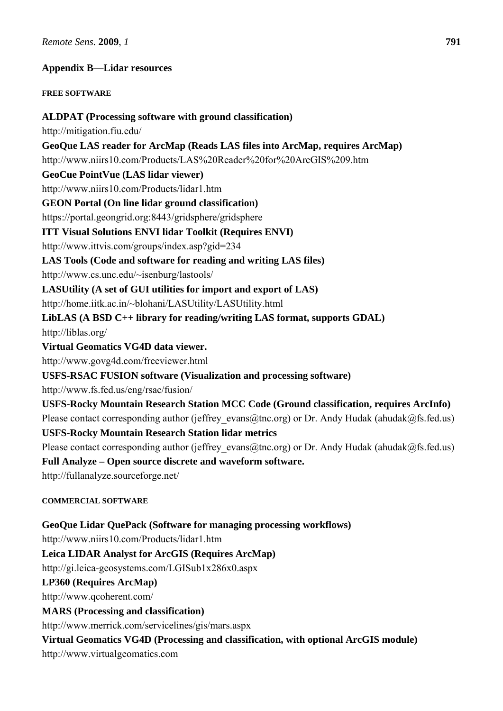# **Appendix B—Lidar resources**

**FREE SOFTWARE**

**ALDPAT (Processing software with ground classification)**  <http://mitigation.fiu.edu/> **GeoQue LAS reader for ArcMap (Reads LAS files into ArcMap, requires ArcMap)** <http://www.niirs10.com/Products/LAS%20Reader%20for%20ArcGIS%209.htm> **GeoCue PointVue (LAS lidar viewer)**  <http://www.niirs10.com/Products/lidar1.htm> **GEON Portal (On line lidar ground classification)**  <https://portal.geongrid.org:8443/gridsphere/gridsphere> **ITT Visual Solutions ENVI lidar Toolkit (Requires ENVI)**  <http://www.ittvis.com/groups/index.asp?gid=234> **LAS Tools (Code and software for reading and writing LAS files)**  <http://www.cs.unc.edu/~isenburg/lastools/> **LASUtility (A set of GUI utilities for import and export of LAS)**  <http://home.iitk.ac.in/~blohani/LASUtility/LASUtility.html> **LibLAS (A BSD C++ library for reading/writing LAS format, supports GDAL)**  <http://liblas.org/> **Virtual Geomatics VG4D data viewer.**  <http://www.govg4d.com/freeviewer.html> **USFS-RSAC FUSION software (Visualization and processing software)**  <http://www.fs.fed.us/eng/rsac/fusion/> **USFS-Rocky Mountain Research Station MCC Code (Ground classification, requires ArcInfo)**  [Please](http://forest.moscowfsl.wsu.edu/gems/lidar/mcc.html) contact corresponding author (jeffrey evans@tnc.org) or Dr. Andy Hudak (ahudak@fs.fed.us) **USFS-Rocky Mountain Research Station lidar metrics**  [Please](http://forest.moscowfsl.wsu.edu/gems/lidar/mcc.html) contact corresponding author (jeffrey evans@tnc.org) or Dr. Andy Hudak (ahudak@fs.fed.us) **Full Analyze – Open source discrete and waveform software.**  http://fullanalyze.sourceforge.net/ **COMMERCIAL SOFTWARE GeoQue Lidar QuePack (Software for managing processing workflows)**  <http://www.niirs10.com/Products/lidar1.htm> **Leica LIDAR Analyst for ArcGIS (Requires ArcMap)**  <http://gi.leica-geosystems.com/LGISub1x286x0.aspx>

# **LP360 (Requires ArcMap)**

<http://www.qcoherent.com/>

**MARS (Processing and classification)** 

<http://www.merrick.com/servicelines/gis/mars.aspx>

**Virtual Geomatics VG4D (Processing and classification, with optional ArcGIS module)**  [http://www.virtualgeomatics.com](http://www.virtualgeomatics.com/)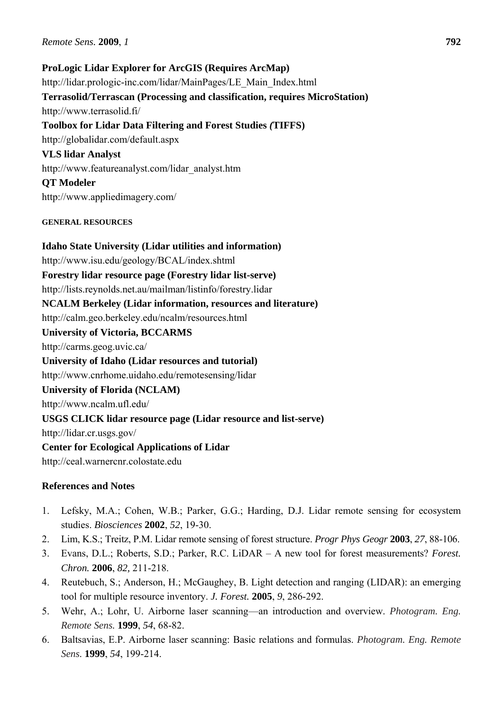# **ProLogic Lidar Explorer for ArcGIS (Requires ArcMap)**  [http://lidar.prologic-inc.com/lidar/MainPages/LE\\_Main\\_Index.html](http://lidar.prologic-inc.com/lidar/MainPages/LE_Main_Index.html) **Terrasolid/Terrascan (Processing and classification, requires MicroStation)**  <http://www.terrasolid.fi/> **Toolbox for Lidar Data Filtering and Forest Studies** *(***TIFFS)** <http://globalidar.com/default.aspx> **VLS lidar Analyst**  [http://www.featureanalyst.com/lidar\\_analyst.htm](http://www.featureanalyst.com/lidar_analyst.htm) **QT Modeler**  http://www.appliedimagery.com/

### **GENERAL RESOURCES**

**Idaho State University (Lidar utilities and information)**  <http://www.isu.edu/geology/BCAL/index.shtml> **Forestry lidar resource page (Forestry lidar list-serve)**  <http://lists.reynolds.net.au/mailman/listinfo/forestry.lidar> **NCALM Berkeley (Lidar information, resources and literature)**  <http://calm.geo.berkeley.edu/ncalm/resources.html> **University of Victoria, BCCARMS**  <http://carms.geog.uvic.ca/> **University of Idaho (Lidar resources and tutorial)**  <http://www.cnrhome.uidaho.edu/remotesensing/lidar> **University of Florida (NCLAM)**  <http://www.ncalm.ufl.edu/> **USGS CLICK lidar resource page (Lidar resource and list-serve)**  http://lidar.cr.usgs.gov/ **Center for Ecological Applications of Lidar**  http://ceal.warnercnr.colostate.edu

## **References and Notes**

- 1. Lefsky, M.A.; Cohen, W.B.; Parker, G.G.; Harding, D.J. Lidar remote sensing for ecosystem studies. *Biosciences* **2002**, *52*, 19-30.
- 2. Lim, K.S.; Treitz, P.M. Lidar remote sensing of forest structure. *Progr Phys Geogr* **2003**, *27*, 88-106.
- 3. Evans, D.L.; Roberts, S.D.; Parker, R.C. LiDAR A new tool for forest measurements? *Forest. Chron.* **2006**, *82,* 211-218.
- 4. Reutebuch, S.; Anderson, H.; McGaughey, B. Light detection and ranging (LIDAR): an emerging tool for multiple resource inventory. *J. Forest.* **2005**, *9*, 286-292.
- 5. Wehr, A.; Lohr, U. Airborne laser scanning—an introduction and overview. *Photogram. Eng. Remote Sens.* **1999**, *54*, 68-82.
- 6. Baltsavias, E.P. Airborne laser scanning: Basic relations and formulas. *Photogram. Eng. Remote Sens.* **1999**, *54*, 199-214.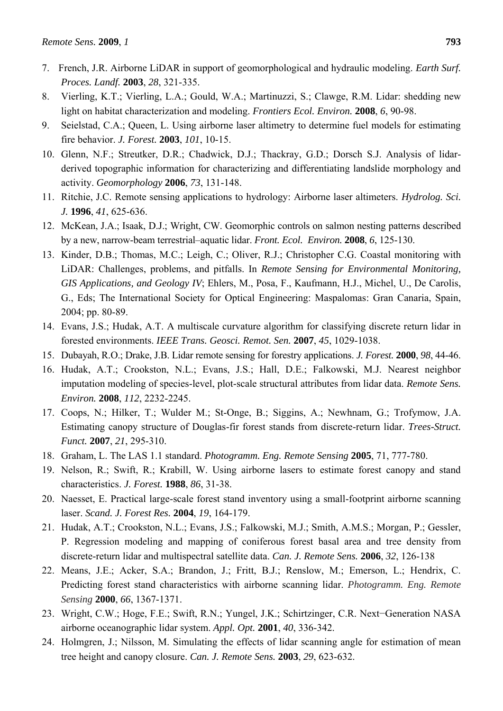- 7. French, J.R. Airborne LiDAR in support of geomorphological and hydraulic modeling. *Earth Surf. Proces. Landf.* **2003**, *28*, 321-335.
- 8. Vierling, K.T.; Vierling, L.A.; Gould, W.A.; Martinuzzi, S.; Clawge, R.M. Lidar: shedding new light on habitat characterization and modeling. *Frontiers Ecol. Environ.* **2008**, *6*, 90-98.
- 9. Seielstad, C.A.; Queen, L. Using airborne laser altimetry to determine fuel models for estimating fire behavior. *J. Forest.* **2003**, *101*, 10-15.
- 10. Glenn, N.F.; Streutker, D.R.; Chadwick, D.J.; Thackray, G.D.; Dorsch S.J. Analysis of lidarderived topographic information for characterizing and differentiating landslide morphology and activity. *Geomorphology* **2006**, *73*, 131-148.
- 11. Ritchie, J.C. Remote sensing applications to hydrology: Airborne laser altimeters. *Hydrolog. Sci. J.* **1996**, *41*, 625-636.
- 12. McKean, J.A.; Isaak, D.J.; Wright, CW. Geomorphic controls on salmon nesting patterns described by a new, narrow-beam terrestrial–aquatic lidar. *Front. Ecol. Environ.* **2008**, *6*, 125-130.
- 13. Kinder, D.B.; Thomas, M.C.; Leigh, C.; Oliver, R.J.; Christopher C.G. Coastal monitoring with LiDAR: Challenges, problems, and pitfalls. In *Remote Sensing for Environmental Monitoring, GIS Applications, and Geology IV*; Ehlers, M., Posa, F., Kaufmann, H.J., Michel, U., De Carolis, G., Eds; The International Society for Optical Engineering: Maspalomas: Gran Canaria, Spain, 2004; pp. 80-89.
- 14. Evans, J.S.; Hudak, A.T. A multiscale curvature algorithm for classifying discrete return lidar in forested environments. *IEEE Trans. Geosci. Remot. Sen.* **2007**, *45*, 1029-1038.
- 15. Dubayah, R.O.; Drake, J.B. Lidar remote sensing for forestry applications. *J. Forest.* **2000**, *98*, 44-46.
- 16. Hudak, A.T.; Crookston, N.L.; Evans, J.S.; Hall, D.E.; Falkowski, M.J. Nearest neighbor imputation modeling of species-level, plot-scale structural attributes from lidar data. *Remote Sens. Environ.* **2008**, *112*, 2232-2245.
- 17. Coops, N.; Hilker, T.; Wulder M.; St-Onge, B.; Siggins, A.; Newhnam, G.; Trofymow, J.A. Estimating canopy structure of Douglas-fir forest stands from discrete-return lidar. *Trees-Struct. Funct.* **2007**, *21*, 295-310.
- 18. Graham, L. The LAS 1.1 standard. *Photogramm. Eng. Remote Sensing* **2005**, 71, 777-780.
- 19. Nelson, R.; Swift, R.; Krabill, W. Using airborne lasers to estimate forest canopy and stand characteristics. *J. Forest.* **1988**, *86*, 31-38.
- 20. Naesset, E. Practical large-scale forest stand inventory using a small-footprint airborne scanning laser. *Scand. J. Forest Res.* **2004**, *19*, 164-179.
- 21. Hudak, A.T.; Crookston, N.L.; Evans, J.S.; Falkowski, M.J.; Smith, A.M.S.; Morgan, P.; Gessler, P. Regression modeling and mapping of coniferous forest basal area and tree density from discrete-return lidar and multispectral satellite data. *Can. J. Remote Sens.* **2006**, *32*, 126-138
- 22. Means, J.E.; Acker, S.A.; Brandon, J.; Fritt, B.J.; Renslow, M.; Emerson, L.; Hendrix, C. Predicting forest stand characteristics with airborne scanning lidar. *Photogramm. Eng. Remote Sensing* **2000**, *66*, 1367-1371.
- 23. Wright, C.W.; Hoge, F.E.; Swift, R.N.; Yungel, J.K.; Schirtzinger, C.R. Next−Generation NASA airborne oceanographic lidar system. *Appl. Opt.* **2001**, *40*, 336-342.
- 24. Holmgren, J.; Nilsson, M. Simulating the effects of lidar scanning angle for estimation of mean tree height and canopy closure. *Can. J. Remote Sens.* **2003**, *29*, 623-632.